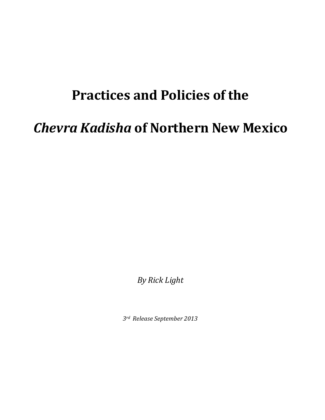# **Practices and Policies of the**

# *Chevra Kadisha* **of Northern New Mexico**

*By Rick Light* 

*3 rd Release September 2013*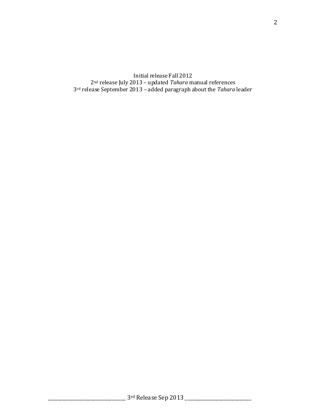Initial release Fall 2012 2nd release July 2013 – updated *Tahara* manual references 3rd release September 2013 – added paragraph about the *Tahara* leader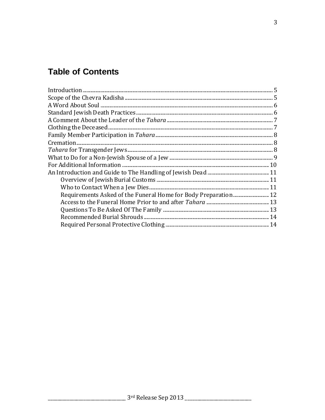# **Table of Contents**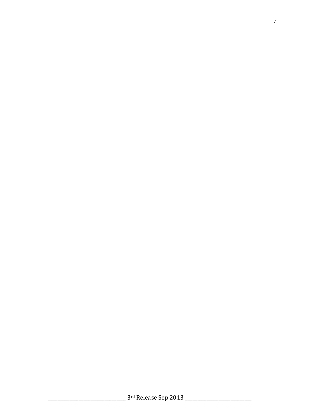$\overline{4}$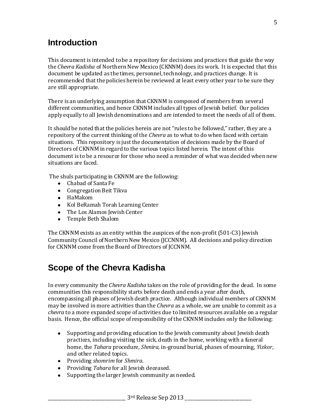## **Introduction**

This document is intended to be a repository for decisions and practices that guide the way the *Chevra Kadisha* of Northern New Mexico (CKNNM) does its work. It is expected that this document be updated as the times, personnel, technology, and practices change. It is recommended that the policies herein be reviewed at least every other year to be sure they are still appropriate.

There is an underlying assumption that CKNNM is composed of members from several different communities, and hence CKNNM includes all types of Jewish belief. Our policies apply equally to all Jewish denominations and are intended to meet the needs of all of them.

It should be noted that the policies herein are not "rules to be followed," rather, they are a repository of the current thinking of the *Chevra* as to what to do when faced with certain situations. This repository is just the documentation of decisions made by the Board of Directors of CKNNM in regard to the various topics listed herein. The intent of this document is to be a resource for those who need a reminder of what was decided when new situations are faced.

The shuls participating in CKNNM are the following:

- Chabad of Santa Fe
- Congregation Beit Tikva
- HaMakom
- Kol BeRamah Torah Learning Center
- The Los Alamos Jewish Center
- Temple Beth Shalom

The CKNNM exists as an entity within the auspices of the non-profit (501-C3) Jewish Community Council of Northern New Mexico (JCCNNM). All decisions and policy direction for CKNNM come from the Board of Directors of JCCNNM.

## **Scope of the Chevra Kadisha**

In every community the *Chevra Kadisha* takes on the role of providing for the dead. In some communities this responsibility starts before death and ends a year after death, encompassing all phases of Jewish death practice. Although individual members of CKNNM may be involved in more activities than the *Chevra* as a whole, we are unable to commit as a *chevra* to a more expanded scope of activities due to limited resources available on a regular basis. Hence, the official scope of responsibility of the CKNNM includes only the following:

- Supporting and providing education to the Jewish community about Jewish death practices, including visiting the sick, death in the home, working with a funeral home, the *Tahara* procedure, *Shmira*, in-ground burial, phases of mourning, *Yizkor*, and other related topics.
- Providing *shomrim* for *Shmira*.
- Providing *Tahara* for all Jewish deceased.
- Supporting the larger Jewish community as needed.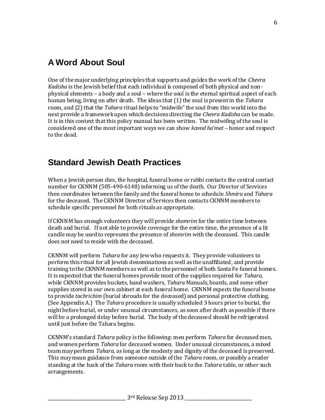## **A Word About Soul**

One of the major underlying principles that supports and guides the work of the *Chevra Kadisha* is the Jewish belief that each individual is composed of both physical and nonphysical elements – a body and a soul – where the soul is the eternal spiritual aspect of each human being, living on after death. The ideas that (1) the soul is present in the *Tahara* room, and (2) that the *Tahara* ritual helps to "midwife" the soul from this world into the next provide a framework upon which decisions directing the *Chevra Kadisha* can be made. It is in this context that this policy manual has been written. The midwifing of the soul is considered one of the most important ways we can show *kavod ha'met* – honor and respect to the dead.

## **Standard Jewish Death Practices**

When a Jewish person dies, the hospital, funeral home or rabbi contacts the central contact number for CKNNM (505-490-6148) informing us of the death. Our Director of Services then coordinates between the family and the funeral home to schedule *Shmira* and *Tahara* for the deceased. The CKNNM Director of Services then contacts CKNNM members to schedule specific personnel for both rituals as appropriate.

If CKNNM has enough volunteers theywill provide *shomrim* for the entire time between death and burial. If not able to provide coverage for the entire time, the presence of a lit candle may be used to represent the presence of *shomrim* with the deceased. This candle does not need to reside with the deceased.

CKNNM will perform *Tahara* for any Jew who requests it. They provide volunteers to perform this ritual for all Jewish denominations as well as the unaffiliated, and provide training to the CKNNM members as well as to the personnel of both Santa Fe funeral homes. It is expected that the funeral homes provide most of the supplies required for *Tahara*, while CKNNM provides buckets, hand washers, *Tahara* Manuals, boards, and some other supplies stored in our own cabinet at each funeral home. CKNNM expects the funeral home to provide *tachrichim* (burial shrouds for the deceased) and personal protective clothing. (See Appendix A.) The *Tahara* procedure is usually scheduled 3 hours prior to burial, the night before burial, or under unusual circumstances, as soon after death as possible if there will be a prolonged delay before burial. The body of the deceased should be refrigerated until just before the Tahara begins.

CKNNM's standard *Tahara* policy is the following: men perform *Tahara* for deceased men, and women perform *Tahara* for deceased women. Under unusual circumstances, a mixed team may perform *Tahara*, as long as the modesty and dignity of the deceased is preserved. This may mean guidance from someone outside of the *Tahara* room, or possibly a reader standing at the back of the *Tahara* room with their back to the *Tahara* table, or other such arrangements.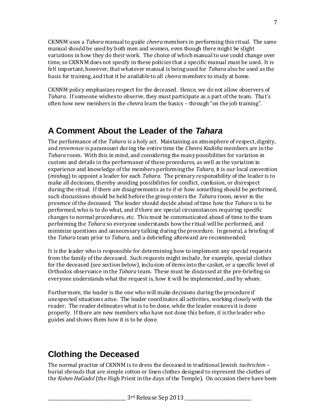CKNNM uses a *Tahara* manual to guide *chevra* members in performing this ritual. The same manual should be used by both men and women, even though there might be slight variations in how they do their work. The choice of which manual to use could change over time, so CKNNM does not specify in these policies that a specific manual must be used. It is felt important, however, that whatever manual is being used for *Tahara* also be used as the basis for training, and that it be available to all *chevra* members to study at home.

CKNNM policy emphasizes respect for the deceased. Hence, we do not allow observers of *Tahara.* If someone wishes to observe, they must participate as a part of the team. That's often how new members in the *chevra* learn the basics – through "on the job training".

### **A Comment About the Leader of the** *Tahara*

The performance of the *Tahara* is a holy act. Maintaining an atmosphere of respect, dignity, and reverence is paramount during the entire time the *Chevra Kadisha* members are in the *Tahara* room. With this in mind, and considering the many possibilities for variation in custom and details in the performance of these procedures, as well as the variation in experience and knowledge of the members performing the *Tahara*, it is our local convention (*minhag*) to appoint a leader for each *Tahara*. The primary responsibility of the leader is to make all decisions, thereby avoiding possibilities for conflict, confusion, or disrespect during the ritual. If there are disagreements as to if or how something should be performed, such discussions should be held before the group enters the *Tahara* room, never in the presence of the deceased. The leader should decide ahead of time how the *Tahara* is to be performed, who is to do what, and if there are special circumstances requiring specific changes to normal procedures, etc. This must be communicated ahead of time to the team performing the *Tahara* so everyone understands how the ritual will be performed, and minimize questions and unnecessary talking during the procedure. In general, a briefing of the *Tahara* team prior to *Tahara*, and a debriefing afterward are recommended.

It is the leader who is responsible for determining how to implement any special requests from the family of the deceased. Such requests might include, for example, special clothes for the deceased (see section below), inclusion of items into the casket, or a specific level of Orthodox observance in the *Tahara* team. These must be discussed at the pre-briefing so everyone understands what the request is, how it will be implemented, and by whom.

Furthermore, the leader is the one who will make decisions during the procedure if unexpected situations arise. The leader coordinates all activities, working closely with the reader. The reader delineates what is to be done, while the leader ensures it is done properly. If there are new members who have not done this before, it is the leader who guides and shows them how it is to be done.

## **Clothing the Deceased**

The normal practice of CKNNM is to dress the deceased in traditional Jewish *tachrichim* – burial shrouds that are simple cotton or linen clothes designed to represent the clothes of the *Kohen HaGadol* (the High Priest in the days of the Temple). On occasion there have been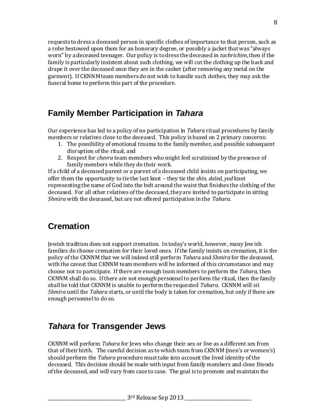requests to dress a deceased person in specific clothes of importance to that person, such as a robe bestowed upon them for an honorary degree, or possibly a jacket that was "always worn" by a deceased teenager. Our policy is to dress the deceased in *tachrichim*, then if the family is particularly insistent about such clothing, we will cut the clothing up the back and drape it over the deceased once they are in the casket (after removing any metal on the garment). If CKNNM team members do not wish to handle such clothes, they may ask the funeral home to perform this part of the procedure.

### **Family Member Participation in** *Tahara*

Our experience has led to a policy of no participation in *Tahara* ritual procedures by family members or relatives close to the deceased. This policy is based on 2 primary concerns:

- 1. The possibility of emotional trauma to the family member, and possible subsequent disruption of the ritual, and
- 2. Respect for *chevra* team members who might feel scrutinized by the presence of family members while they do their work.

If a child of a deceased parent or a parent of a deceased child insists on participating, we offer them the opportunity to tie the last knot – they tie the *shin, daled, yud* knot representing the name of God into the belt around the waist that finishes the clothing of the deceased. For all other relatives of the deceased, they are invited to participate in sitting *Shmira* with the deceased, but are not offered participation in the *Tahara*.

## **Cremation**

Jewish tradition does not support cremation. In today's world, however, many Jewish families do choose cremation for their loved ones. If the family insists on cremation, it is the policy of the CKNNM that we will indeed still perform *Tahara* and *Shmira* for the deceased, with the caveat that CKNNM team members will be informed of this circumstance and may choose not to participate. If there are enough team members to perform the *Tahara*, then CKNNM shall do so. If there are not enough personnel to perform the ritual, then the family shall be told that CKNNM is unable to perform the requested *Tahara*. CKNNM will sit *Shmira* until the *Tahara* starts, or until the body is taken for cremation, but only if there are enough personnel to do so.

## *Tahara* **for Transgender Jews**

CKNNM will perform *Tahara* for Jews who change their sex or live as a different sex from that of their birth. The careful decision as to which team from CKNNM (men's or women's) should perform the *Tahara* procedure must take into account the lived identity of the deceased. This decision should be made with input from family members and close friends of the deceased, and will vary from case to case. The goal is to promote and maintain the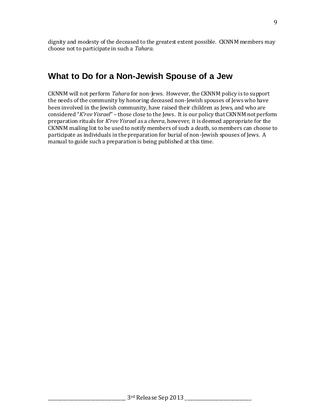dignity and modesty of the deceased to the greatest extent possible. CKNNM members may choose not to participate in such a *Tahara*.

#### **What to Do for a Non-Jewish Spouse of a Jew**

CKNNM will not perform *Tahara* for non-Jews. However, the CKNNM policy is to support the needs of the community by honoring deceased non-Jewish spouses of Jewswho have been involved in the Jewish community, have raised their children as Jews, and who are considered "*K'rov Yisrael*" – those close to the Jews. It is our policy that CKNNM not perform preparation rituals for *K'rov Yisrael* as a *chevra*, however, it is deemed appropriate for the CKNNM mailing list to be used to notify members of such a death, so members can choose to participate as individuals in the preparation for burial of non-Jewish spouses of Jews. A manual to guide such a preparation is being published at this time.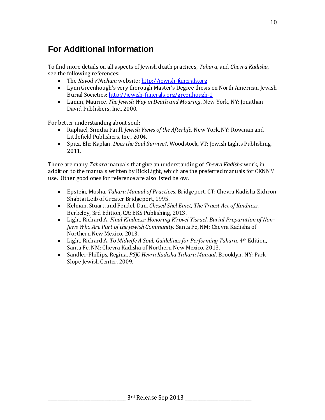# **For Additional Information**

To find more details on all aspects of Jewish death practices, *Tahara*, and *Chevra Kadisha*, see the following references:

- The *Kavod v'Nichum* website[: http://jewish-funerals.org](http://jewish-funerals.org/)
- Lynn Greenhough's very thorough Master's Degree thesis on North American Jewish Burial Societies[: http://jewish-funerals.org/greenhough-1](http://jewish-funerals.org/greenhough-1)
- Lamm, Maurice. *The Jewish Way in Death and Mouring*. New York, NY: Jonathan David Publishers, Inc., 2000.

For better understanding about soul:

- Raphael, Simcha Paull. *Jewish Views of the Afterlife*. New York, NY: Rowman and Littlefield Publishers, Inc., 2004.
- Spitz, Elie Kaplan. *Does the Soul Survive?*. Woodstock, VT: Jewish Lights Publishing, 2011.

There are many *Tahara* manuals that give an understanding of *Chevra Kadisha* work, in addition to the manuals written by Rick Light, which are the preferred manuals for CKNNM use. Other good ones for reference are also listed below.

- Epstein, Mosha. *Tahara Manual of Practices*. Bridgeport, CT: Chevra Kadisha Zichron Shabtai Leib of Greater Bridgeport, 1995.
- Kelman, Stuart, and Fendel, Dan. *Chesed Shel Emet, The Truest Act of Kindness*. Berkeley, 3rd Edition, CA: EKS Publishing, 2013.
- Light, Richard A. *Final Kindness: Honoring K'rovei Yisrael, Burial Preparation of Non-Jews Who Are Part of the Jewish Community.* Santa Fe, NM: Chevra Kadisha of Northern New Mexico, 2013.
- Light, Richard A. *To Midwife A Soul, Guidelines for Performing Tahara*. 4th Edition, Santa Fe, NM: Chevra Kadisha of Northern New Mexico, 2013.
- Sandler-Phillips, Regina. *PSJC Hevra Kadisha Tahara Manual*. Brooklyn, NY: Park Slope Jewish Center, 2009.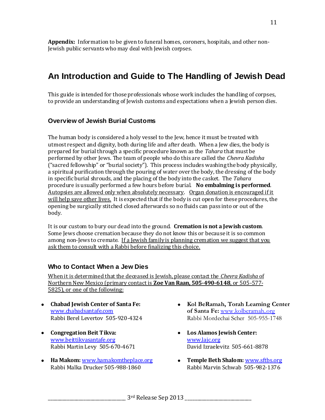**Appendix:** Information to be given to funeral homes, coroners, hospitals, and other non-Jewish public servants who may deal with Jewish corpses.

## **An Introduction and Guide to The Handling of Jewish Dead**

This guide is intended for those professionals whose work includes the handling of corpses, to provide an understanding of Jewish customs and expectations when a Jewish person dies.

#### **Overview of Jewish Burial Customs**

The human body is considered a holy vessel to the Jew, hence it must be treated with utmost respect and dignity, both during life and after death. When a Jew dies, the body is prepared for burial through a specific procedure known as the *Tahara* that must be performed by other Jews. The team of people who do this are called the *Chevra Kadisha* ("sacred fellowship" or "burial society"). This process includes washing the body physically, a spiritual purification through the pouring of water over the body, the dressing of the body in specific burial shrouds, and the placing of the body into the casket. The *Tahara* procedure is usually performed a few hours before burial. **No embalming is performed**. Autopsies are allowed only when absolutely necessary. Organ donation is encouraged if it will help save other lives. It is expected that if the body is cut open for these procedures, the opening be surgically stitched closed afterwards so no fluids can pass into or out of the body.

It is our custom to bury our dead into the ground. **Cremation is not a Jewish custom**. Some Jews choose cremation because they do not know this or because it is so common among non-Jews to cremate. If a Jewish family is planning cremation we suggest that you ask them to consult with a Rabbi before finalizing this choice.

#### **Who to Contact When a Jew Dies**

When it is determined that the deceased is Jewish, please contact the *Chevra Kadisha* of Northern New Mexico (primary contact is **Zoe Van Raan, 505-490-6148**, or 505-577- 5825), or one of the following:

- **Chabad Jewish Center of Santa Fe:**   $\bullet$ [www.chabadsantafe.com](http://www.chabadsantafe.com/) Rabbi Berel Levertov 505-920-4324
- **Congregation Beit Tikva:**  [www.beittikvasantafe.org](http://www.beittikvasantafe.org/) Rabbi Martin Levy 505-670-4671
- **Ha Makom:** [www.hamakomtheplace.org](http://www.hamakomtheplace.org/)  $\bullet$ Rabbi Malka Drucker 505-988-1860
- **Kol BeRamah, Torah Learning Center of Santa Fe:** [www.kolberamah..org](http://www.kolberamah.org/) Rabbi Mordechai Scher 505-955-1748
- **Los Alamos Jewish Center:**  [www.lajc.org](http://www.lajc.org/) David Izraelevitz 505-661-8878
- **Temple Beth Shalom:** [www.sftbs.org](http://www.sftbs.org/) Rabbi Marvin Schwab 505-982-1376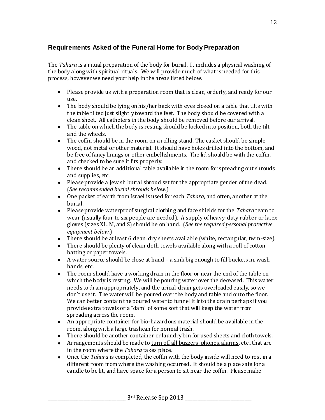#### **Requirements Asked of the Funeral Home for Body Preparation**

The *Tahara* is a ritual preparation of the body for burial. It includes a physical washing of the body along with spiritual rituals. We will provide much of what is needed for this process, however we need your help in the areas listed below.

- Please provide us with a preparation room that is clean, orderly, and ready for our use.
- The body should be lying on his/her back with eyes closed on a table that tilts with the table tilted just slightly toward the feet. The body should be covered with a clean sheet. All catheters in the body should be removed before our arrival.
- The table on which the body is resting should be locked into position, both the tilt and the wheels.
- The coffin should be in the room on a rolling stand. The casket should be simple wood, not metal or other material. It should have holes drilled into the bottom, and be free of fancy linings or other embellishments. The lid should be with the coffin, and checked to be sure it fits properly.
- There should be an additional table available in the room for spreading out shrouds and supplies, etc.
- Please provide a Jewish burial shroud set for the appropriate gender of the dead. (*See recommended burial shrouds below.*)
- One packet of earth from Israel is used for each *Tahara*, and often, another at the burial.
- Please provide waterproof surgical clothing and face shields for the *Tahara* team to wear (usually four to six people are needed). A supply of heavy-duty rubber or latex gloves (sizes XL, M, and S) should be on hand. (*See the required personal protective equipment below.*)
- There should be at least 6 dean, dry sheets available (white, rectangular, twin-size).
- There should be plenty of clean doth towels available along with a roll of cotton batting or paper towels.
- A water source should be close at hand a sink big enough to fill buckets in, wash hands, etc.
- The room should have a working drain in the floor or near the end of the table on which the body is resting. We will be pouring water over the deceased. This water needs to drain appropriately, and the urinal-drain gets overloaded easily, so we don't use it. The water will be poured over the body and table and onto the floor. We can better contain the poured water to funnel it into the drain perhaps if you provide extra towels or a "dam" of some sort that will keep the water from spreading across the room.
- An appropriate container for bio-hazardous material should be available in the room, along with a large trashcan for normal trash.
- There should be another container or laundry bin for used sheets and cloth towels.
- Arrangements should be made to turn off all buzzers, phones, alarms, etc., that are in the room where the *Tahara* takes place.
- Once the *Tahara* is completed, the coffin with the body inside will need to rest in a different room from where the washing occurred. It should be a place safe for a candle to be lit, and have space for a person to sit near the coffin. Please make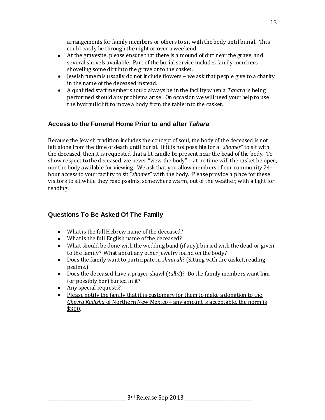arrangements for family members or others to sit with the body until burial. This could easily be through the night or over a weekend.

- At the gravesite, please ensure that there is a mound of dirt near the grave, and several shovels available. Part of the burial service includes family members shoveling some dirt into the grave onto the casket.
- Jewish funerals usually do not include flowers we ask that people give to a charity in the name of the deceased instead.
- A qualified staff member should always be in the facility when a *Tahara* is being performed should any problems arise. On occasion we will need your help to use the hydraulic lift to move a body from the table into the casket.

#### **Access to the Funeral Home Prior to and after** *Tahara*

Because the Jewish tradition includes the concept of soul, the body of the deceased is not left alone from the time of death until burial. If it is not possible for a "*shomer*" to sit with the deceased, then it is requested that a lit candle be present near the head of the body. To show respect to the deceased, we never "view the body" – at no time will the casket be open, nor the body available for viewing. We ask that you allow members of our community 24 hour access to your facility to sit "*shomer*" with the body. Please provide a place for these visitors to sit while they read psalms, somewhere warm, out of the weather, with a light for reading.

#### **Questions To Be Asked Of The Family**

- What is the full Hebrew name of the deceased?
- What is the full English name of the deceased?
- What should be done with the wedding band (if any), buried with the dead or given to the family? What about any other jewelry found on the body?
- Does the family want to participate in *shmirah*? (Sitting with the casket, reading psalms.)
- Does the deceased have a prayer shawl (*tallit*)? Do the family members want him (or possibly her) buried in it?
- Any special requests?
- Please notify the family that it is customary for them to make a donation to the *Chevra Kadisha* of Northern New Mexico – any amount is acceptable, the norm is \$300.